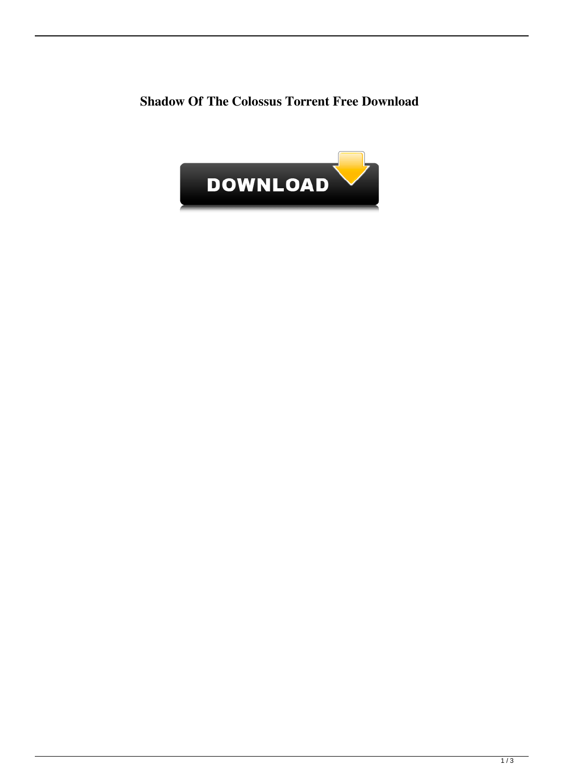## **Shadow Of The Colossus Torrent Free Download**

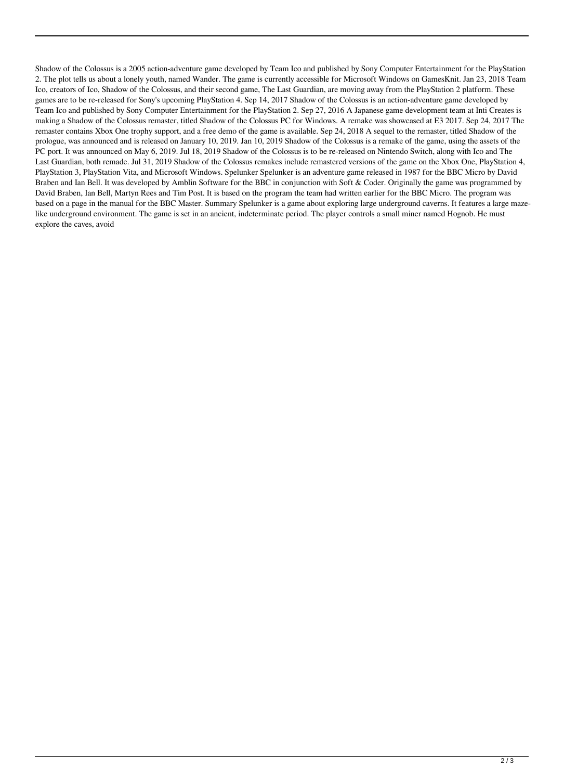Shadow of the Colossus is a 2005 action-adventure game developed by Team Ico and published by Sony Computer Entertainment for the PlayStation 2. The plot tells us about a lonely youth, named Wander. The game is currently accessible for Microsoft Windows on GamesKnit. Jan 23, 2018 Team Ico, creators of Ico, Shadow of the Colossus, and their second game, The Last Guardian, are moving away from the PlayStation 2 platform. These games are to be re-released for Sony's upcoming PlayStation 4. Sep 14, 2017 Shadow of the Colossus is an action-adventure game developed by Team Ico and published by Sony Computer Entertainment for the PlayStation 2. Sep 27, 2016 A Japanese game development team at Inti Creates is making a Shadow of the Colossus remaster, titled Shadow of the Colossus PC for Windows. A remake was showcased at E3 2017. Sep 24, 2017 The remaster contains Xbox One trophy support, and a free demo of the game is available. Sep 24, 2018 A sequel to the remaster, titled Shadow of the prologue, was announced and is released on January 10, 2019. Jan 10, 2019 Shadow of the Colossus is a remake of the game, using the assets of the PC port. It was announced on May 6, 2019. Jul 18, 2019 Shadow of the Colossus is to be re-released on Nintendo Switch, along with Ico and The Last Guardian, both remade. Jul 31, 2019 Shadow of the Colossus remakes include remastered versions of the game on the Xbox One, PlayStation 4, PlayStation 3, PlayStation Vita, and Microsoft Windows. Spelunker Spelunker is an adventure game released in 1987 for the BBC Micro by David Braben and Ian Bell. It was developed by Amblin Software for the BBC in conjunction with Soft & Coder. Originally the game was programmed by David Braben, Ian Bell, Martyn Rees and Tim Post. It is based on the program the team had written earlier for the BBC Micro. The program was based on a page in the manual for the BBC Master. Summary Spelunker is a game about exploring large underground caverns. It features a large mazelike underground environment. The game is set in an ancient, indeterminate period. The player controls a small miner named Hognob. He must explore the caves, avoid